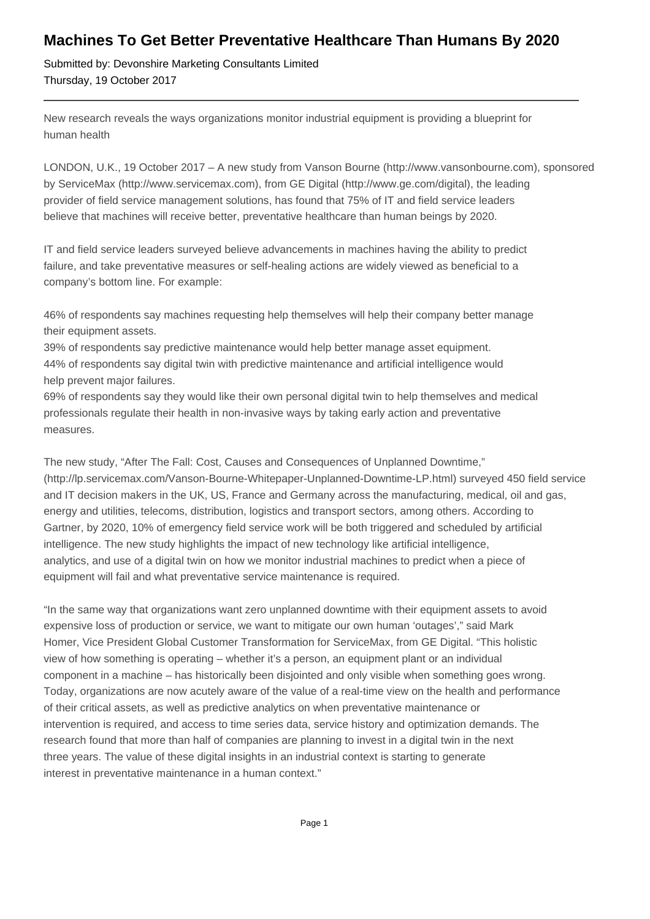## **Machines To Get Better Preventative Healthcare Than Humans By 2020**

Submitted by: Devonshire Marketing Consultants Limited Thursday, 19 October 2017

New research reveals the ways organizations monitor industrial equipment is providing a blueprint for human health

LONDON, U.K., 19 October 2017 – A new study from Vanson Bourne (http://www.vansonbourne.com), sponsored by ServiceMax (http://www.servicemax.com), from GE Digital (http://www.ge.com/digital), the leading provider of field service management solutions, has found that 75% of IT and field service leaders believe that machines will receive better, preventative healthcare than human beings by 2020.

IT and field service leaders surveyed believe advancements in machines having the ability to predict failure, and take preventative measures or self-healing actions are widely viewed as beneficial to a company's bottom line. For example:

 46% of respondents say machines requesting help themselves will help their company better manage their equipment assets.

 39% of respondents say predictive maintenance would help better manage asset equipment. 44% of respondents say digital twin with predictive maintenance and artificial intelligence would help prevent major failures.

 69% of respondents say they would like their own personal digital twin to help themselves and medical professionals regulate their health in non-invasive ways by taking early action and preventative measures.

The new study, "After The Fall: Cost, Causes and Consequences of Unplanned Downtime," (http://lp.servicemax.com/Vanson-Bourne-Whitepaper-Unplanned-Downtime-LP.html) surveyed 450 field service and IT decision makers in the UK, US, France and Germany across the manufacturing, medical, oil and gas, energy and utilities, telecoms, distribution, logistics and transport sectors, among others. According to Gartner, by 2020, 10% of emergency field service work will be both triggered and scheduled by artificial intelligence. The new study highlights the impact of new technology like artificial intelligence, analytics, and use of a digital twin on how we monitor industrial machines to predict when a piece of equipment will fail and what preventative service maintenance is required.

"In the same way that organizations want zero unplanned downtime with their equipment assets to avoid expensive loss of production or service, we want to mitigate our own human 'outages'," said Mark Homer, Vice President Global Customer Transformation for ServiceMax, from GE Digital. "This holistic view of how something is operating – whether it's a person, an equipment plant or an individual component in a machine – has historically been disjointed and only visible when something goes wrong. Today, organizations are now acutely aware of the value of a real-time view on the health and performance of their critical assets, as well as predictive analytics on when preventative maintenance or intervention is required, and access to time series data, service history and optimization demands. The research found that more than half of companies are planning to invest in a digital twin in the next three years. The value of these digital insights in an industrial context is starting to generate interest in preventative maintenance in a human context."